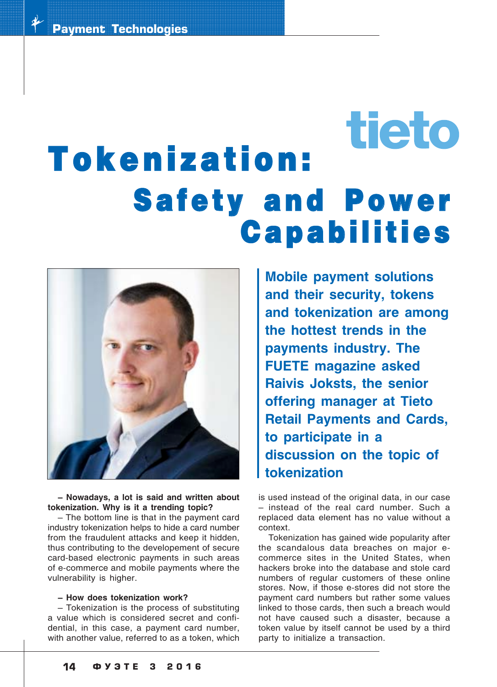# tieto Tokenization: **Safety and Power Capabilities**



**– Nowadays, a lot is said and written about tokenization. Why is it a trending topic?**

– The bottom line is that in the payment card industry tokenization helps to hide a card number from the fraudulent attacks and keep it hidden, thus contributing to the developement of secure card-based electronic payments in such areas of ecommerce and mobile payments where the vulnerability is higher.

#### **– How does tokenization work?**

– Tokenization is the process of substituting a value which is considered secret and confi dential, in this case, a payment card number, with another value, referred to as a token, which

**Mobile payment solutions and their security, tokens and tokenization are among the hottest trends in the payments industry. The FUETE magazine asked Raivis Joksts, the senior offering manager at Tieto Retail Payments and Cards, to participate in a discussion on the topic of tokenization**

is used instead of the original data, in our case – instead of the real card number. Such a replaced data element has no value without a context.

Tokenization has gained wide popularity after the scandalous data breaches on major e commerce sites in the United States, when hackers broke into the database and stole card numbers of regular customers of these online stores. Now, if those e-stores did not store the payment card numbers but rather some values linked to those cards, then such a breach would not have caused such a disaster, because a token value by itself cannot be used by a third party to initialize a transaction.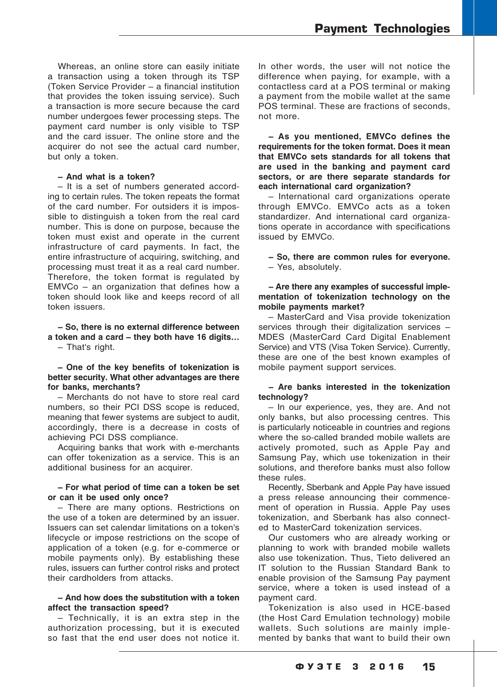Whereas, an online store can easily initiate a transaction using a token through its TSP (Token Service Provider – a financial institution that provides the token issuing service). Such a transaction is more secure because the card number undergoes fewer processing steps. The payment card number is only visible to TSP and the card issuer. The online store and the acquirer do not see the actual card number, but only a token.

#### **– And what is a token?**

– It is a set of numbers generated accord ing to certain rules. The token repeats the format of the card number. For outsiders it is impos sible to distinguish a token from the real card number. This is done on purpose, because the token must exist and operate in the current infrastructure of card payments. In fact, the entire infrastructure of acquiring, switching, and processing must treat it as a real card number. Therefore, the token format is regulated by EMVCo – an organization that defines how a token should look like and keeps record of all token issuers.

**– So, there is no external difference between a token and a card – they both have 16 digits…** – That's right.

#### **– One of the key benefits of tokenization is better security. What other advantages are there for banks, merchants?**

– Merchants do not have to store real card numbers, so their PCI DSS scope is reduced, meaning that fewer systems are subject to audit, accordingly, there is a decrease in costs of achieving PCI DSS compliance.

Acquiring banks that work with e-merchants can offer tokenization as a service. This is an additional business for an acquirer.

### **– For what period of time can a token be set or can it be used only once?**

– There are many options. Restrictions on the use of a token are determined by an issuer. Issuers can set calendar limitations on a token's lifecycle or impose restrictions on the scope of application of a token (e.g. for e-commerce or mobile payments only). By establishing these rules, issuers can further control risks and protect their cardholders from attacks.

# **– And how does the substitution with a token affect the transaction speed?**

– Technically, it is an extra step in the authorization processing, but it is executed so fast that the end user does not notice it.

In other words, the user will not notice the difference when paying, for example, with a contactless card at a POS terminal or making a payment from the mobile wallet at the same POS terminal. These are fractions of seconds, not more.

**– As you mentioned, EMVCo defines the requirements for the token format. Does it mean that EMVCo sets standards for all tokens that are used in the banking and payment card sectors, or are there separate standards for each international card organization?**

– International card organizations operate through EMVCo. EMVCo acts as a token standardizer. And international card organiza tions operate in accordance with specifications issued by EMVCo.

**– So, there are common rules for everyone.**

– Yes, absolutely.

# **– Are there any examples of successful imple mentation of tokenization technology on the mobile payments market?**

– MasterCard and Visa provide tokenization services through their digitalization services – MDES (MasterCard Card Digital Enablement Service) and VTS (Visa Token Service). Currently, these are one of the best known examples of mobile payment support services.

### **– Are banks interested in the tokenization technology?**

– In our experience, yes, they are. And not only banks, but also processing centres. This is particularly noticeable in countries and regions where the so-called branded mobile wallets are actively promoted, such as Apple Pay and Samsung Pay, which use tokenization in their solutions, and therefore banks must also follow these rules.

Recently, Sberbank and Apple Pay have issued a press release announcing their commence ment of operation in Russia. Apple Pay uses tokenization, and Sberbank has also connect ed to MasterCard tokenization services.

Our customers who are already working or planning to work with branded mobile wallets also use tokenization. Thus, Tieto delivered an IT solution to the Russian Standard Bank to enable provision of the Samsung Pay payment service, where a token is used instead of a payment card.

Tokenization is also used in HCE-based (the Host Card Emulation technology) mobile wallets. Such solutions are mainly imple mented by banks that want to build their own